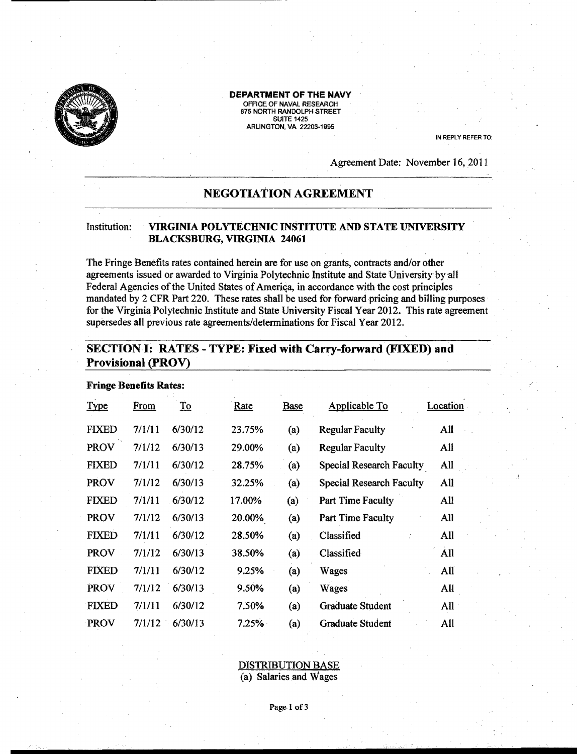

#### DEPARTMENT OF THE NAVY

OFFICE OF NAVAL RESEARCH 875 NORTH RANDOLPH STREET **SUITE 1425** ARliNGTON, VA 22203-1995

IN REPLY REFER TO:

Agreement Date: November 16, 2011

## NEGOTIATION AGREEMENT

#### Institution: VIRGINIA POLYTECHNIC INSTITUTE AND STATE UNIVERSITY BLACKSBURG, VIRGINIA 24061

The Fringe Benefits rates contained herein are for use on grants, contracts *andlor* other agreements issued or awarded to Virginia Polytechnic Institute and State University byal1 Federal Agencies of the United States of America, in accordance with the cost principles mandated by 2 CFR Part 220. These rates shall be used for forward pricing and billing purposes for the Virginia Polytechnic Institute and State University Fiscal Year 2012. This rate agreement supersedes all previous rate agreements/determinations for Fiscal Year 2012.

## SECTION I: RATES - TYPE: Fixed with Carry-forward (FIXED) and Provisional (PROV)

| <b>Fringe Benefits Rates:</b> |        |                 |        |             |                                 |          |  |  |  |  |
|-------------------------------|--------|-----------------|--------|-------------|---------------------------------|----------|--|--|--|--|
| <b>Type</b>                   | From   | $\overline{10}$ | Rate   | <b>Base</b> | Applicable To                   | Location |  |  |  |  |
| <b>FIXED</b>                  | 7/1/11 | 6/30/12         | 23.75% | (a)         | <b>Regular Faculty</b>          | All      |  |  |  |  |
| <b>PROV</b>                   | 7/1/12 | 6/30/13         | 29.00% | (a)         | <b>Regular Faculty</b>          | All      |  |  |  |  |
| <b>FIXED</b>                  | 7/1/11 | 6/30/12         | 28.75% | (a)         | <b>Special Research Faculty</b> | All      |  |  |  |  |
| <b>PROV</b>                   | 7/1/12 | 6/30/13         | 32.25% | (a)         | <b>Special Research Faculty</b> | All      |  |  |  |  |
| <b>FIXED</b>                  | 7/1/11 | 6/30/12         | 17.00% | (a)         | Part Time Faculty               | All      |  |  |  |  |
| <b>PROV</b>                   | 7/1/12 | 6/30/13         | 20.00% | (a)         | Part Time Faculty               | All      |  |  |  |  |
| <b>FIXED</b>                  | 7/1/11 | 6/30/12         | 28.50% | (a)         | Classified                      | All      |  |  |  |  |
| <b>PROV</b>                   | 7/1/12 | 6/30/13         | 38.50% | (a)         | Classified                      | All      |  |  |  |  |
| <b>FIXED</b>                  | 7/1/11 | 6/30/12         | 9.25%  | (a)         | Wages                           | All      |  |  |  |  |
| PROV                          | 7/1/12 | 6/30/13         | 9.50%  | (a)         | Wages                           | All      |  |  |  |  |
| <b>FIXED</b>                  | 7/1/11 | 6/30/12         | 7.50%  | (a)         | <b>Graduate Student</b>         | All      |  |  |  |  |
| <b>PROV</b>                   | 7/1/12 | 6/30/13         | 7.25%  | (a)         | <b>Graduate Student</b>         | All      |  |  |  |  |
|                               |        |                 |        |             |                                 |          |  |  |  |  |

# DISTRIBUTION BASE

(a) Salaries and Wages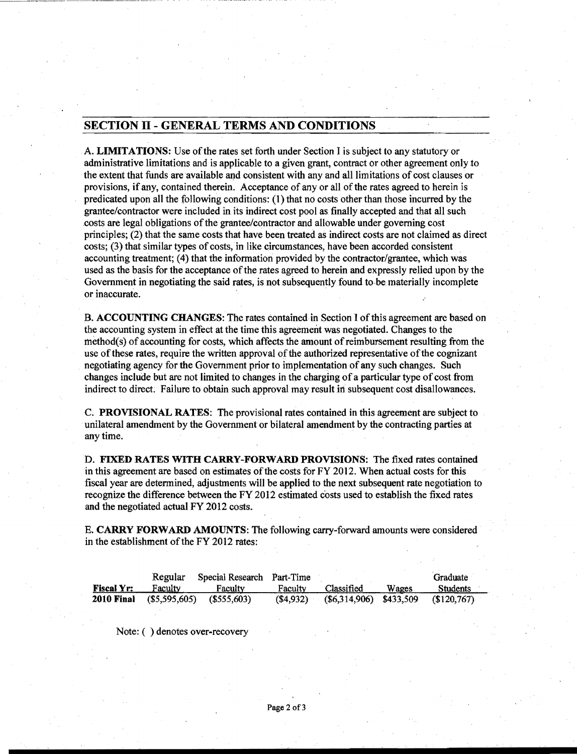### SECTION II - GENERAL TERMS AND CONDITIONS

A. LIMITATIONS: Use ofthe rates set forth under Section J is subject to any statutory or administrative limitations and is applicable to a given grant, contract or other agreement only to the extent that funds are available and consistent with any and al1limitations of cost clauses or provisions, ifany, contained therein. Acceptance of any or all of the rates agreed to herein is predicated upon all the following conditions: (1) that no costs other than those incurred by the grantee/contractor were included in its indirect cost pool as finally accepted and that all such .costs are legal obligations ofthe grantee/contractor and allowable under governing cost principles; (2) that the same costs that have been treated as indirect costs are not claimed as direct costs; (3) that similar types of costs, in like circumstances, have been accorded consistent accounting treatment; (4) that the information provided by the contractor/grantee, which was used as the basis for the acceptance of the rates agreed to herein and expressly relied upon by the Government in negotiating the said rates, is not subsequently found to be materially incomplete or inaccurate. .

B. ACCOUNTING CHANGES: The rates contained in Section I of this agreement are based on the accounting system in effect at the time this agreement was negotiated. Changes to the  $method(s)$  of accounting for costs, which affects the amount of reimbursement resulting from the use of these rates, require the written approval of the authorized representative of the cognizant negotiating agency for the Government prior to implementation of any such changes. Such changes include but are not limited to changes in the charging of a particular type of cost from indirect to direct. Failure to obtain such approval may result in subsequent cost disallowances.

C. PROVISIONAL RATES: The provisional rates contained in this agreement are subject to unilateral amendment by the Government or bilateral amendment by the contracting parties at anytime.

D. FIXED RATES WITH CARRY-FORWARD PROVISIONS: The fixed rates contained in this agreement are based on estimates of the costs for FY 2012. When actual costs for this fiscal year are determined, adjustments will be applied to the next subsequent rate negotiation to recognize the difference between the FY 2012 estimated costs used to establish the fixed rates and the negotiated actual FY 2012 costs.

E. CARRY FORWARD AMOUNTS: The following carry-forward amounts were considered in the establishment of the FY 2012 rates:

|                   | Regular      | Special Research Part-Time |          |                          |       | Graduate        |
|-------------------|--------------|----------------------------|----------|--------------------------|-------|-----------------|
| <b>Fiscal Yr:</b> | Faculty      | Faculty                    | Faculty  | Classified               | Wages | <b>Students</b> |
| <b>2010 Final</b> | (S5,595,605) | (S555.603)                 | (S4,932) | $(S6,314,906)$ \$433,509 |       | (S120.767)      |

Note: ( ) denotes over-recovery